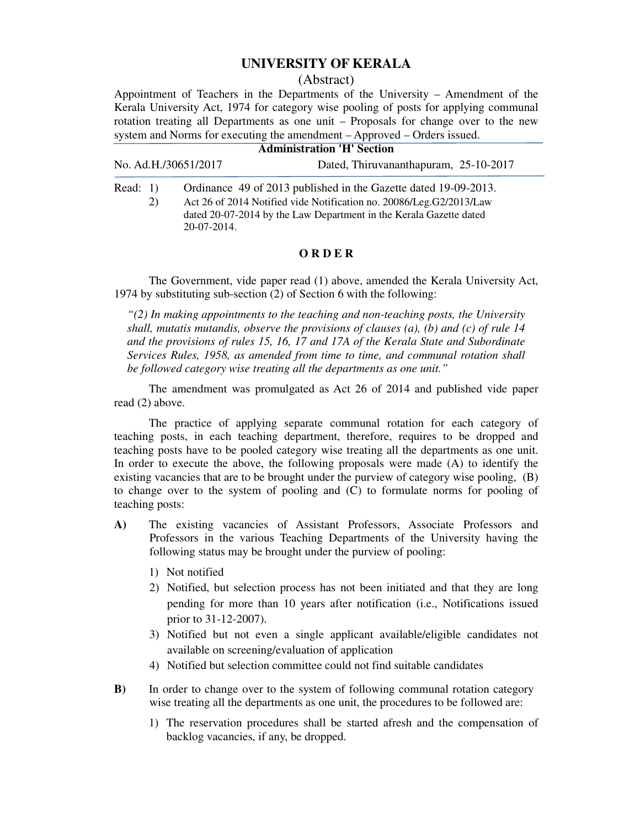## **UNIVERSITY OF KERALA**

#### (Abstract)

Appointment of Teachers in the Departments of the University – Amendment of the Kerala University Act, 1974 for category wise pooling of posts for applying communal rotation treating all Departments as one unit – Proposals for change over to the new system and Norms for executing the amendment – Approved – Orders issued.

| <b>Administration 'H' Section</b> |             |                                                                                                                                                                                                              |  |  |
|-----------------------------------|-------------|--------------------------------------------------------------------------------------------------------------------------------------------------------------------------------------------------------------|--|--|
| No. Ad.H./30651/2017              |             | Dated, Thiruvananthapuram, 25-10-2017                                                                                                                                                                        |  |  |
| Read: $1)$<br>2)                  | 20-07-2014. | Ordinance 49 of 2013 published in the Gazette dated 19-09-2013.<br>Act 26 of 2014 Notified vide Notification no. 20086/Leg.G2/2013/Law<br>dated 20-07-2014 by the Law Department in the Kerala Gazette dated |  |  |

### **O R D E R**

 The Government, vide paper read (1) above, amended the Kerala University Act, 1974 by substituting sub-section (2) of Section 6 with the following:

*"(2) In making appointments to the teaching and non-teaching posts, the University shall, mutatis mutandis, observe the provisions of clauses (a), (b) and (c) of rule 14 and the provisions of rules 15, 16, 17 and 17A of the Kerala State and Subordinate Services Rules, 1958, as amended from time to time, and communal rotation shall be followed category wise treating all the departments as one unit."*

 The amendment was promulgated as Act 26 of 2014 and published vide paper read (2) above.

 The practice of applying separate communal rotation for each category of teaching posts, in each teaching department, therefore, requires to be dropped and teaching posts have to be pooled category wise treating all the departments as one unit. In order to execute the above, the following proposals were made (A) to identify the existing vacancies that are to be brought under the purview of category wise pooling, (B) to change over to the system of pooling and (C) to formulate norms for pooling of teaching posts:

- **A)** The existing vacancies of Assistant Professors, Associate Professors and Professors in the various Teaching Departments of the University having the following status may be brought under the purview of pooling:
	- 1) Not notified
	- 2) Notified, but selection process has not been initiated and that they are long pending for more than 10 years after notification (i.e., Notifications issued prior to 31-12-2007).
	- 3) Notified but not even a single applicant available/eligible candidates not available on screening/evaluation of application
	- 4) Notified but selection committee could not find suitable candidates
- **B**) In order to change over to the system of following communal rotation category wise treating all the departments as one unit, the procedures to be followed are:
	- 1) The reservation procedures shall be started afresh and the compensation of backlog vacancies, if any, be dropped.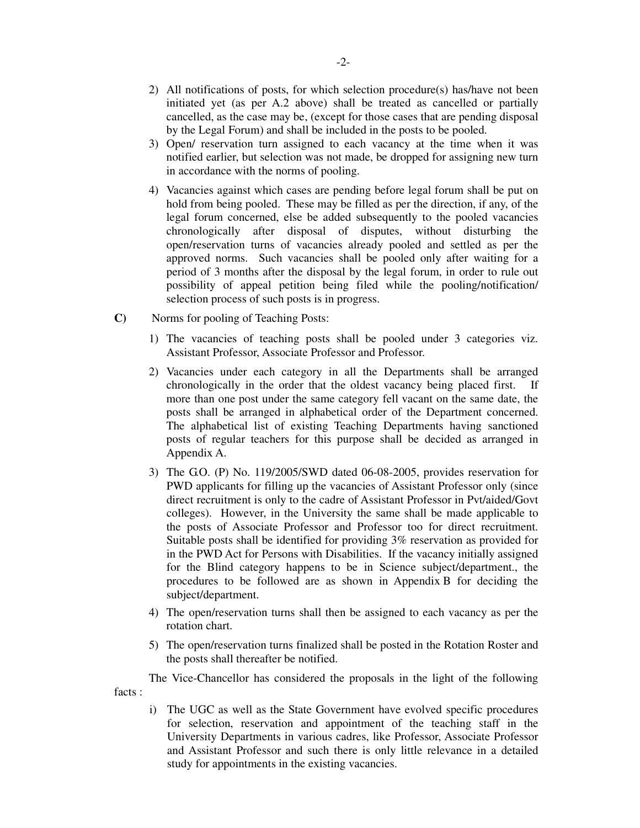- 2) All notifications of posts, for which selection procedure(s) has/have not been initiated yet (as per A.2 above) shall be treated as cancelled or partially cancelled, as the case may be, (except for those cases that are pending disposal by the Legal Forum) and shall be included in the posts to be pooled.
- 3) Open/ reservation turn assigned to each vacancy at the time when it was notified earlier, but selection was not made, be dropped for assigning new turn in accordance with the norms of pooling.
- 4) Vacancies against which cases are pending before legal forum shall be put on hold from being pooled. These may be filled as per the direction, if any, of the legal forum concerned, else be added subsequently to the pooled vacancies chronologically after disposal of disputes, without disturbing the open/reservation turns of vacancies already pooled and settled as per the approved norms. Such vacancies shall be pooled only after waiting for a period of 3 months after the disposal by the legal forum, in order to rule out possibility of appeal petition being filed while the pooling/notification/ selection process of such posts is in progress.
- **C)** Norms for pooling of Teaching Posts:
	- 1) The vacancies of teaching posts shall be pooled under 3 categories viz. Assistant Professor, Associate Professor and Professor.
	- 2) Vacancies under each category in all the Departments shall be arranged chronologically in the order that the oldest vacancy being placed first. If more than one post under the same category fell vacant on the same date, the posts shall be arranged in alphabetical order of the Department concerned. The alphabetical list of existing Teaching Departments having sanctioned posts of regular teachers for this purpose shall be decided as arranged in Appendix A.
	- 3) The G.O. (P) No. 119/2005/SWD dated 06-08-2005, provides reservation for PWD applicants for filling up the vacancies of Assistant Professor only (since direct recruitment is only to the cadre of Assistant Professor in Pvt/aided/Govt colleges). However, in the University the same shall be made applicable to the posts of Associate Professor and Professor too for direct recruitment. Suitable posts shall be identified for providing 3% reservation as provided for in the PWD Act for Persons with Disabilities. If the vacancy initially assigned for the Blind category happens to be in Science subject/department., the procedures to be followed are as shown in Appendix B for deciding the subject/department.
	- 4) The open/reservation turns shall then be assigned to each vacancy as per the rotation chart.
	- 5) The open/reservation turns finalized shall be posted in the Rotation Roster and the posts shall thereafter be notified.

 The Vice-Chancellor has considered the proposals in the light of the following facts :

i) The UGC as well as the State Government have evolved specific procedures for selection, reservation and appointment of the teaching staff in the University Departments in various cadres, like Professor, Associate Professor and Assistant Professor and such there is only little relevance in a detailed study for appointments in the existing vacancies.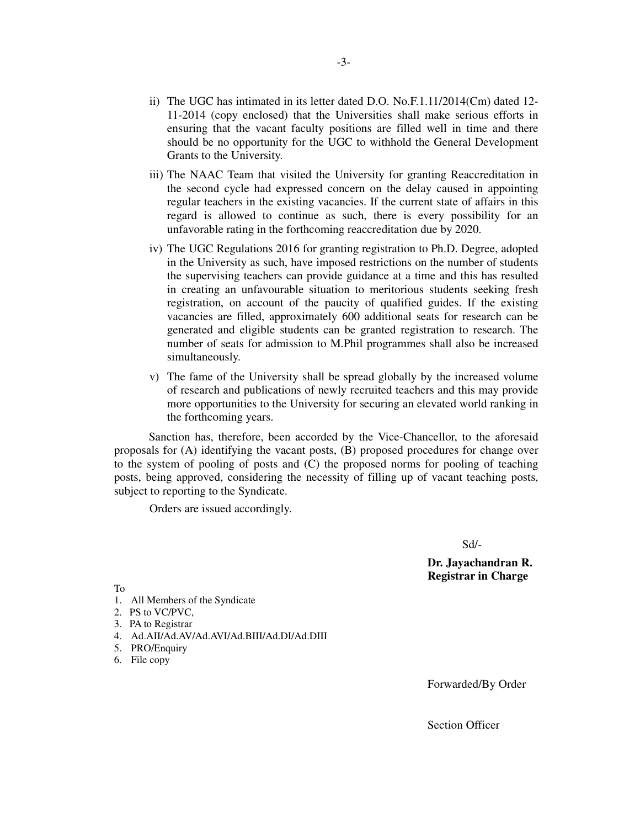- ii) The UGC has intimated in its letter dated D.O. No.F.1.11/2014(Cm) dated 12- 11-2014 (copy enclosed) that the Universities shall make serious efforts in ensuring that the vacant faculty positions are filled well in time and there should be no opportunity for the UGC to withhold the General Development Grants to the University.
- iii) The NAAC Team that visited the University for granting Reaccreditation in the second cycle had expressed concern on the delay caused in appointing regular teachers in the existing vacancies. If the current state of affairs in this regard is allowed to continue as such, there is every possibility for an unfavorable rating in the forthcoming reaccreditation due by 2020.
- iv) The UGC Regulations 2016 for granting registration to Ph.D. Degree, adopted in the University as such, have imposed restrictions on the number of students the supervising teachers can provide guidance at a time and this has resulted in creating an unfavourable situation to meritorious students seeking fresh registration, on account of the paucity of qualified guides. If the existing vacancies are filled, approximately 600 additional seats for research can be generated and eligible students can be granted registration to research. The number of seats for admission to M.Phil programmes shall also be increased simultaneously.
- v) The fame of the University shall be spread globally by the increased volume of research and publications of newly recruited teachers and this may provide more opportunities to the University for securing an elevated world ranking in the forthcoming years.

 Sanction has, therefore, been accorded by the Vice-Chancellor, to the aforesaid proposals for (A) identifying the vacant posts, (B) proposed procedures for change over to the system of pooling of posts and (C) the proposed norms for pooling of teaching posts, being approved, considering the necessity of filling up of vacant teaching posts, subject to reporting to the Syndicate.

Orders are issued accordingly.

Sd/-

 **Dr. Jayachandran R. Registrar in Charge**

To

- 1. All Members of the Syndicate
- 2. PS to VC/PVC,
- 3. PA to Registrar
- 4. Ad.AII/Ad.AV/Ad.AVI/Ad.BIII/Ad.DI/Ad.DIII
- 5. PRO/Enquiry
- 6. File copy

Forwarded/By Order

Section Officer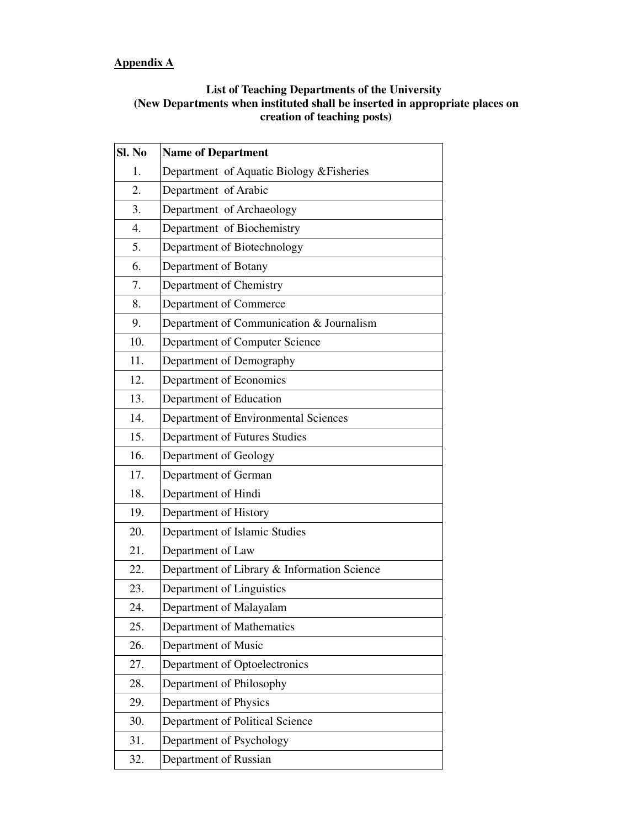# **Appendix A**

## **List of Teaching Departments of the University (New Departments when instituted shall be inserted in appropriate places on creation of teaching posts)**

| Sl. No | <b>Name of Department</b>                   |  |
|--------|---------------------------------------------|--|
| 1.     | Department of Aquatic Biology & Fisheries   |  |
| 2.     | Department of Arabic                        |  |
| 3.     | Department of Archaeology                   |  |
| 4.     | Department of Biochemistry                  |  |
| 5.     | Department of Biotechnology                 |  |
| 6.     | Department of Botany                        |  |
| 7.     | Department of Chemistry                     |  |
| 8.     | Department of Commerce                      |  |
| 9.     | Department of Communication & Journalism    |  |
| 10.    | Department of Computer Science              |  |
| 11.    | Department of Demography                    |  |
| 12.    | Department of Economics                     |  |
| 13.    | Department of Education                     |  |
| 14.    | Department of Environmental Sciences        |  |
| 15.    | Department of Futures Studies               |  |
| 16.    | Department of Geology                       |  |
| 17.    | Department of German                        |  |
| 18.    | Department of Hindi                         |  |
| 19.    | Department of History                       |  |
| 20.    | Department of Islamic Studies               |  |
| 21.    | Department of Law                           |  |
| 22.    | Department of Library & Information Science |  |
| 23.    | Department of Linguistics                   |  |
| 24.    | Department of Malayalam                     |  |
| 25.    | Department of Mathematics                   |  |
| 26.    | Department of Music                         |  |
| 27.    | Department of Optoelectronics               |  |
| 28.    | Department of Philosophy                    |  |
| 29.    | Department of Physics                       |  |
| 30.    | Department of Political Science             |  |
| 31.    | Department of Psychology                    |  |
| 32.    | Department of Russian                       |  |